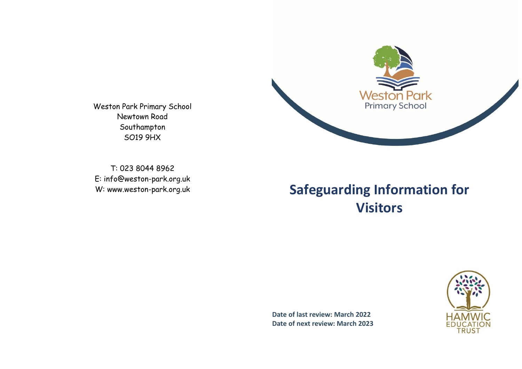

Weston Park Primary School Newtown Road Southampton SO19 9HX

T: 023 8044 8962 E: [info@weston-park.org.uk](mailto:info@weston-park.org.uk)

# W: www.weston-park.org.uk **Safeguarding Information for Visitors**

**Date of last review: March 2022 Date of next review: March 2023**

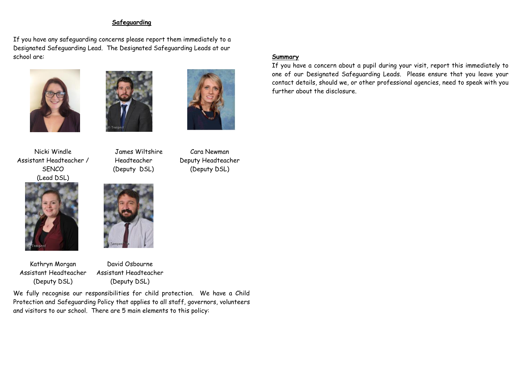### **Safeguarding**

If you have any safeguarding concerns please report them immediately to a Designated Safeguarding Lead. The Designated Safeguarding Leads at our school are:







Cara Newman Deputy Headteacher (Deputy DSL)

Nicki Windle Assistant Headteacher / **SFNCO** (Lead DSL)



Kathryn Morgan Assistant Headteacher (Deputy DSL)

 James Wiltshire Headteacher (Deputy DSL)



David Osbourne Assistant Headteacher (Deputy DSL)

We fully recognise our responsibilities for child protection. We have a Child Protection and Safeguarding Policy that applies to all staff, governors, volunteers and visitors to our school. There are 5 main elements to this policy:

# **Summary**

If you have a concern about a pupil during your visit, report this immediately to one of our Designated Safeguarding Leads. Please ensure that you leave your contact details, should we, or other professional agencies, need to speak with you further about the disclosure.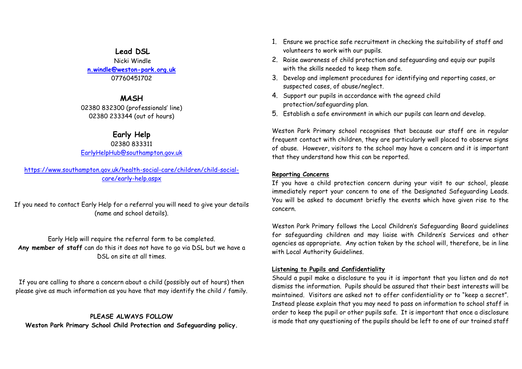### **Lead DSL**

Nicki Windle **[n.windle@weston-park.org.uk](mailto:n.windle@weston-park.org.uk)** 07760451702

### **MASH**

02380 832300 (professionals' line) 02380 233344 (out of hours)

## **Early Help**

#### 02380 833311 [EarlyHelpHub@southampton.gov.uk](mailto:EarlyHelpHub@southampton.gov.uk)

[https://www.southampton.gov.uk/health-social-care/children/child-social](https://www.southampton.gov.uk/health-social-care/children/child-social-care/early-help.aspx)[care/early-help.aspx](https://www.southampton.gov.uk/health-social-care/children/child-social-care/early-help.aspx)

If you need to contact Early Help for a referral you will need to give your details (name and school details).

## Early Help will require the referral form to be completed. **Any member of staff** can do this it does not have to go via DSL but we have a DSL on site at all times.

If you are calling to share a concern about a child (possibly out of hours) then please give as much information as you have that may identify the child / family.

**PLEASE ALWAYS FOLLOW Weston Park Primary School Child Protection and Safeguarding policy.**

- 1. Ensure we practice safe recruitment in checking the suitability of staff and volunteers to work with our pupils.
- 2. Raise awareness of child protection and safeguarding and equip our pupils with the skills needed to keep them safe.
- 3. Develop and implement procedures for identifying and reporting cases, or suspected cases, of abuse/neglect.
- 4. Support our pupils in accordance with the agreed child protection/safeguarding plan.
- 5. Establish a safe environment in which our pupils can learn and develop.

Weston Park Primary school recognises that because our staff are in regular frequent contact with children, they are particularly well placed to observe signs of abuse. However, visitors to the school may have a concern and it is important that they understand how this can be reported.

### **Reporting Concerns**

If you have a child protection concern during your visit to our school, please immediately report your concern to one of the Designated Safeguarding Leads. You will be asked to document briefly the events which have given rise to the concern.

Weston Park Primary follows the Local Children's Safeguarding Board guidelines for safeguarding children and may liaise with Children's Services and other agencies as appropriate. Any action taken by the school will, therefore, be in line with Local Authority Guidelines.

### **Listening to Pupils and Confidentiality**

Should a pupil make a disclosure to you it is important that you listen and do not dismiss the information. Pupils should be assured that their best interests will be maintained. Visitors are asked not to offer confidentiality or to "keep a secret". Instead please explain that you may need to pass on information to school staff in order to keep the pupil or other pupils safe. It is important that once a disclosure is made that any questioning of the pupils should be left to one of our trained staff